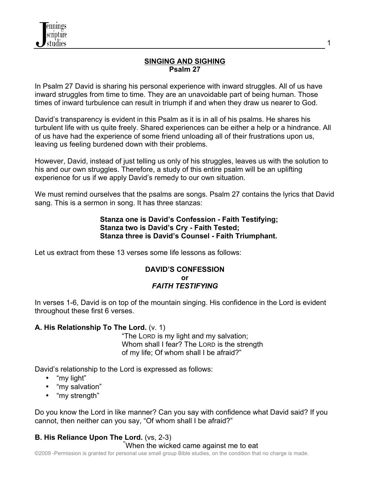

#### **SINGING AND SIGHING Psalm 27**

In Psalm 27 David is sharing his personal experience with inward struggles. All of us have inward struggles from time to time. They are an unavoidable part of being human. Those times of inward turbulence can result in triumph if and when they draw us nearer to God.

David's transparency is evident in this Psalm as it is in all of his psalms. He shares his turbulent life with us quite freely. Shared experiences can be either a help or a hindrance. All of us have had the experience of some friend unloading all of their frustrations upon us, leaving us feeling burdened down with their problems.

However, David, instead of just telling us only of his struggles, leaves us with the solution to his and our own struggles. Therefore, a study of this entire psalm will be an uplifting experience for us if we apply David's remedy to our own situation.

We must remind ourselves that the psalms are songs. Psalm 27 contains the lyrics that David sang. This is a sermon in song. It has three stanzas:

#### **Stanza one is David's Confession - Faith Testifying; Stanza two is David's Cry - Faith Tested; Stanza three is David's Counsel - Faith Triumphant.**

Let us extract from these 13 verses some life lessons as follows:

#### **DAVID'S CONFESSION or** *FAITH TESTIFYING*

In verses 1-6, David is on top of the mountain singing. His confidence in the Lord is evident throughout these first 6 verses.

# **A. His Relationship To The Lord.** (v. 1)

"The LORD is my light and my salvation; Whom shall I fear? The LORD is the strength of my life; Of whom shall I be afraid?"

David's relationship to the Lord is expressed as follows:

- "my light"
- "my salvation"
- "my strength"

Do you know the Lord in like manner? Can you say with confidence what David said? If you cannot, then neither can you say, "Of whom shall I be afraid?"

# **B. His Reliance Upon The Lord.** (vs. 2-3)

#### When the wicked came against me to eat

©2009 -Permission is granted for personal use small group Bible studies, on the condition that no charge is made.

1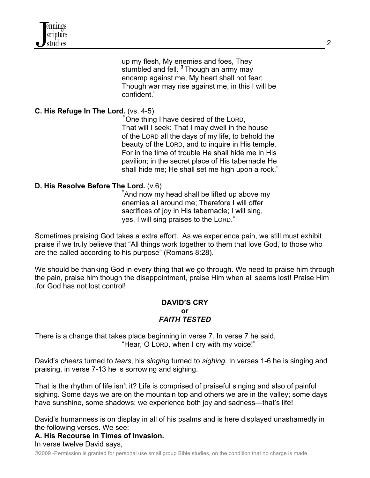up my flesh, My enemies and foes, They stumbled and fell. **<sup>3</sup>** Though an army may encamp against me, My heart shall not fear; Though war may rise against me, in this I will be confident."

# **C. His Refuge In The Lord.** (vs. 4-5) **"**

One thing I have desired of the LORD, That will I seek: That I may dwell in the house of the LORD all the days of my life, to behold the beauty of the LORD, and to inquire in His temple. For in the time of trouble He shall hide me in His pavilion; in the secret place of His tabernacle He shall hide me; He shall set me high upon a rock."

#### **D. His Resolve Before The Lord.** (v.6) **"**

And now my head shall be lifted up above my enemies all around me; Therefore I will offer sacrifices of joy in His tabernacle; I will sing, yes, I will sing praises to the LORD."

Sometimes praising God takes a extra effort. As we experience pain, we still must exhibit praise if we truly believe that "All things work together to them that love God, to those who are the called according to his purpose" (Romans 8:28).

We should be thanking God in every thing that we go through. We need to praise him through the pain, praise him though the disappointment, praise Him when all seems lost! Praise Him ,for God has not lost control!

#### **DAVID'S CRY or**  *FAITH TESTED*

There is a change that takes place beginning in verse 7. In verse 7 he said, "Hear, O LORD, when I cry with my voice!"

David's *cheers* turned to *tears*, his *singing* turned to *sighing.* In verses 1-6 he is singing and praising, in verse 7-13 he is sorrowing and sighing.

That is the rhythm of life isn't it? Life is comprised of praiseful singing and also of painful sighing. Some days we are on the mountain top and others we are in the valley; some days have sunshine, some shadows; we experience both joy and sadness—that's life!

David's humanness is on display in all of his psalms and is here displayed unashamedly in the following verses. We see:

# **A. His Recourse in Times of Invasion.**

#### In verse twelve David says,

©2009 -Permission is granted for personal use small group Bible studies, on the condition that no charge is made.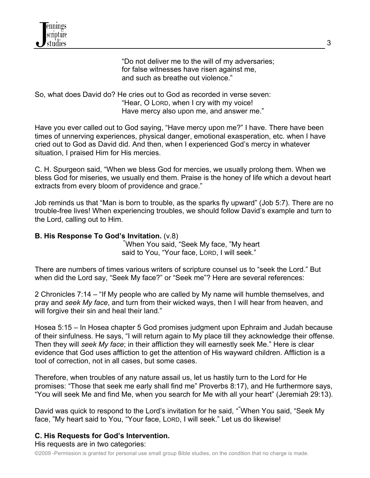"Do not deliver me to the will of my adversaries; for false witnesses have risen against me, and such as breathe out violence."

#### So, what does David do? He cries out to God as recorded in verse seven: "Hear, O LORD, when I cry with my voice! Have mercy also upon me, and answer me."

Have you ever called out to God saying, "Have mercy upon me?" I have. There have been times of unnerving experiences, physical danger, emotional exasperation, etc. when I have cried out to God as David did. And then, when I experienced God's mercy in whatever situation, I praised Him for His mercies.

C. H. Spurgeon said, "When we bless God for mercies, we usually prolong them. When we bless God for miseries, we usually end them. Praise is the honey of life which a devout heart extracts from every bloom of providence and grace."

Job reminds us that "Man is born to trouble, as the sparks fly upward" (Job 5:7). There are no trouble-free lives! When experiencing troubles, we should follow David's example and turn to the Lord, calling out to Him.

# **B. His Response To God's Invitation.** (v.8) **"**

When You said, "Seek My face, "My heart said to You, "Your face, LORD, I will seek."

There are numbers of times various writers of scripture counsel us to "seek the Lord." But when did the Lord say, "Seek My face?" or "Seek me"? Here are several references:

2 Chronicles 7:14 – "If My people who are called by My name will humble themselves, and pray and *seek My face*, and turn from their wicked ways, then I will hear from heaven, and will forgive their sin and heal their land."

Hosea 5:15 – In Hosea chapter 5 God promises judgment upon Ephraim and Judah because of their sinfulness. He says, "I will return again to My place till they acknowledge their offense. Then they will *seek My face*; in their affliction they will earnestly seek Me." Here is clear evidence that God uses affliction to get the attention of His wayward children. Affliction is a tool of correction, not in all cases, but some cases.

Therefore, when troubles of any nature assail us, let us hastily turn to the Lord for He promises: "Those that seek me early shall find me" Proverbs 8:17), and He furthermore says, "You will seek Me and find Me, when you search for Me with all your heart" (Jeremiah 29:13).

David was quick to respond to the Lord's invitation for he said, "**"** When You said, "Seek My face, "My heart said to You, "Your face, LORD, I will seek." Let us do likewise!

# **C. His Requests for God's Intervention.**

His requests are in two categories:

©2009 -Permission is granted for personal use small group Bible studies, on the condition that no charge is made.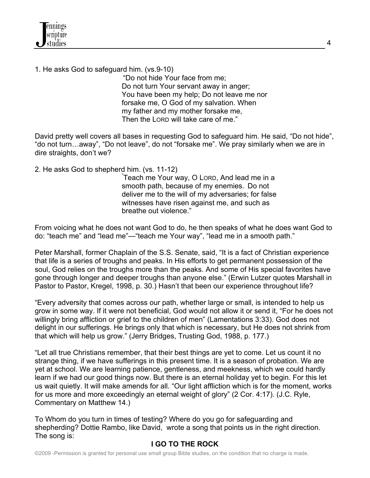# 1. He asks God to safeguard him. (vs.9-10)

 "Do not hide Your face from me; Do not turn Your servant away in anger; You have been my help; Do not leave me nor forsake me, O God of my salvation. When my father and my mother forsake me, Then the LORD will take care of me."

David pretty well covers all bases in requesting God to safeguard him. He said, "Do not hide", "do not turn…away", "Do not leave", do not "forsake me". We pray similarly when we are in dire straights, don't we?

2. He asks God to shepherd him. (vs. 11-12)"

Teach me Your way, O LORD, And lead me in a smooth path, because of my enemies. Do not deliver me to the will of my adversaries; for false witnesses have risen against me, and such as breathe out violence."

From voicing what he does not want God to do, he then speaks of what he does want God to do: "teach me" and "lead me"—"teach me Your way", "lead me in a smooth path."

Peter Marshall, former Chaplain of the S.S. Senate, said, "It is a fact of Christian experience that life is a series of troughs and peaks. In His efforts to get permanent possession of the soul, God relies on the troughs more than the peaks. And some of His special favorites have gone through longer and deeper troughs than anyone else." (Erwin Lutzer quotes Marshall in Pastor to Pastor, Kregel, 1998, p. 30.) Hasn't that been our experience throughout life?

"Every adversity that comes across our path, whether large or small, is intended to help us grow in some way. If it were not beneficial, God would not allow it or send it, "For he does not willingly bring affliction or grief to the children of men" (Lamentations 3:33). God does not delight in our sufferings. He brings only that which is necessary, but He does not shrink from that which will help us grow." (Jerry Bridges, Trusting God, 1988, p. 177.)

"Let all true Christians remember, that their best things are yet to come. Let us count it no strange thing, if we have sufferings in this present time. It is a season of probation. We are yet at school. We are learning patience, gentleness, and meekness, which we could hardly learn if we had our good things now. But there is an eternal holiday yet to begin. For this let us wait quietly. It will make amends for all. "Our light affliction which is for the moment, works for us more and more exceedingly an eternal weight of glory" (2 Cor. 4:17). (J.C. Ryle, Commentary on Matthew 14.)

To Whom do you turn in times of testing? Where do you go for safeguarding and shepherding? Dottie Rambo, like David, wrote a song that points us in the right direction. The song is:

# **I GO TO THE ROCK**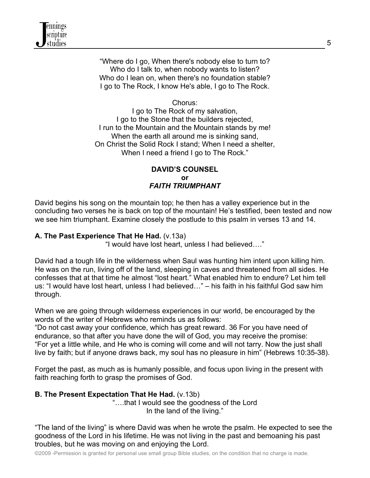"Where do I go, When there's nobody else to turn to? Who do I talk to, when nobody wants to listen? Who do I lean on, when there's no foundation stable? I go to The Rock, I know He's able, I go to The Rock.

Chorus:

I go to The Rock of my salvation, I go to the Stone that the builders rejected, I run to the Mountain and the Mountain stands by me! When the earth all around me is sinking sand, On Christ the Solid Rock I stand; When I need a shelter, When I need a friend I go to The Rock."

# **DAVID'S COUNSEL or**  *FAITH TRIUMPHANT*

David begins his song on the mountain top; he then has a valley experience but in the concluding two verses he is back on top of the mountain! He's testified, been tested and now we see him triumphant. Examine closely the postlude to this psalm in verses 13 and 14.

# **A. The Past Experience That He Had.** (v.13a)

"I would have lost heart, unless I had believed…."

David had a tough life in the wilderness when Saul was hunting him intent upon killing him. He was on the run, living off of the land, sleeping in caves and threatened from all sides. He confesses that at that time he almost "lost heart." What enabled him to endure? Let him tell us: "I would have lost heart, unless I had believed…" – his faith in his faithful God saw him through.

When we are going through wilderness experiences in our world, be encouraged by the words of the writer of Hebrews who reminds us as follows:

"Do not cast away your confidence, which has great reward. 36 For you have need of endurance, so that after you have done the will of God, you may receive the promise: "For yet a little while, and He who is coming will come and will not tarry. Now the just shall live by faith; but if anyone draws back, my soul has no pleasure in him" (Hebrews 10:35-38).

Forget the past, as much as is humanly possible, and focus upon living in the present with faith reaching forth to grasp the promises of God.

# **B. The Present Expectation That He Had.** (v.13b)

"….that I would see the goodness of the Lord In the land of the living."

"The land of the living" is where David was when he wrote the psalm. He expected to see the goodness of the Lord in his lifetime. He was not living in the past and bemoaning his past troubles, but he was moving on and enjoying the Lord.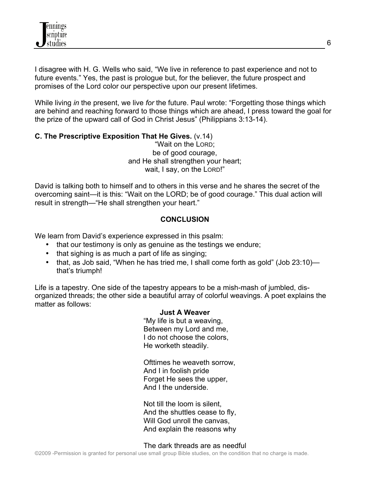I disagree with H. G. Wells who said, "We live in reference to past experience and not to future events." Yes, the past is prologue but, for the believer, the future prospect and promises of the Lord color our perspective upon our present lifetimes.

While living *in* the present, we live *for* the future. Paul wrote: "Forgetting those things which are behind and reaching forward to those things which are ahead, I press toward the goal for the prize of the upward call of God in Christ Jesus" (Philippians 3:13-14).

# **C. The Prescriptive Exposition That He Gives.** (v.14)

"Wait on the LORD; be of good courage, and He shall strengthen your heart; wait, I say, on the LORD!"

David is talking both to himself and to others in this verse and he shares the secret of the overcoming saint—it is this: "Wait on the LORD; be of good courage." This dual action will result in strength—"He shall strengthen your heart."

#### **CONCLUSION**

We learn from David's experience expressed in this psalm:

- that our testimony is only as genuine as the testings we endure;
- that sighing is as much a part of life as singing;
- that, as Job said, "When he has tried me, I shall come forth as gold" (Job 23:10) that's triumph!

Life is a tapestry. One side of the tapestry appears to be a mish-mash of jumbled, disorganized threads; the other side a beautiful array of colorful weavings. A poet explains the matter as follows:

#### **Just A Weaver**

"My life is but a weaving, Between my Lord and me, I do not choose the colors, He worketh steadily.

Ofttimes he weaveth sorrow, And I in foolish pride Forget He sees the upper. And I the underside.

Not till the loom is silent, And the shuttles cease to fly, Will God unroll the canvas, And explain the reasons why

#### The dark threads are as needful